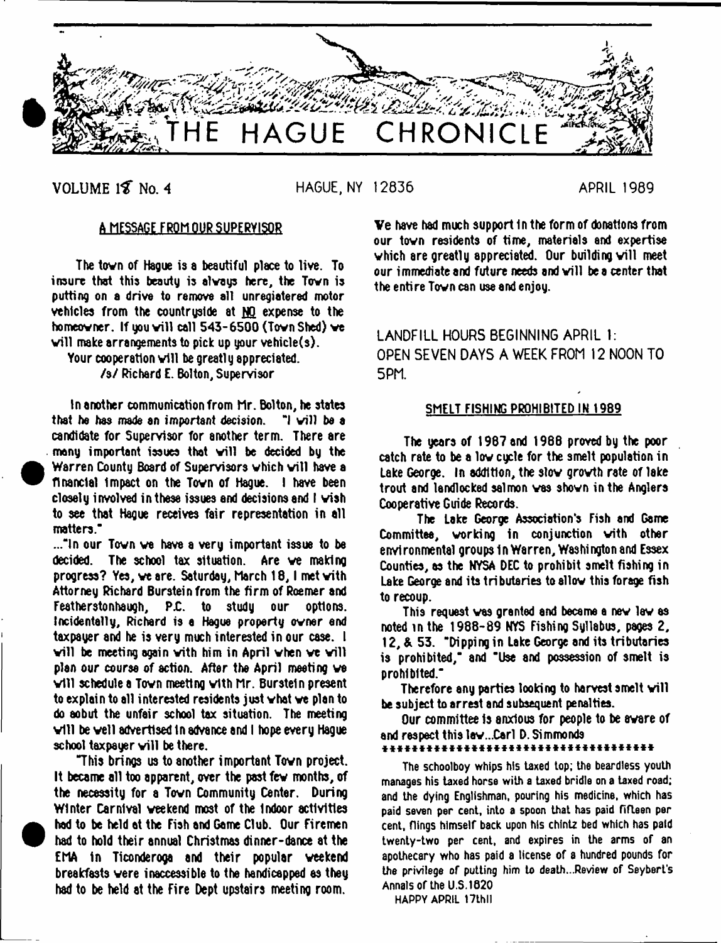

**VOLUME 18 No. 4** HAGUE, NY 12836 **APRIL 1989** 

<sup>•</sup>

 $\bullet$ 

# A MESSAGE FROM OUR SUPERVISOR

The town of Hague is a beautiful place to live. To insure that this beauty is alvays here, the Tovn is putting on a drive to remove all unregiatered motor vehicles from the countruside at NO expense to the homeowner. If you will call  $543 - 6500$  (Town Shed) we will make arrangements to pick up your vehicle $(s)$ .

Your cooperation will be greatly appreciated. /\$/ Richard E. Bolton, Supervisor

In another communication from Mr. Bolton, he states<br>I he has made an important decision. "I will be a that he has made an important decision. candidate for Supervisor for another term. There are many important issues that will be decided by the Warren County Board of Supervisors which will have a financial Impact on the Tovn of Hague. I have been closely involved inthese issues and decisions and I wish to see that Hague receives fair representation in all matters."

..."In our Tovn ve have a very important issue to be decided. The school tax situation. Are ve making progress? Yes, we are. Saturday, March 18, I met with Attorney Richard Burstein from the firm of Roemer and Featherstonhaugh. P.C. to study our options. Featherstonhaugh, PC. to study our options. Incidentally, Richard is a Hague property owner end taxpayer and he is very much interested in our case. I will be meeting again with him in April when we will plan our course of action. After the April meeting ve will schedule a Town meeting with Mr. Burstein present to explain to all interested residents just what we plan to do aobut the unfair school tax situation. The meeting will be well advertised in advance and I hope every Hague school taxpayer will be there.

"This brings us to another important Tovn project. It became all too apparent, over the past few months, of the necessity for a Tovn Community Center. During Winter Carnival veekend most of the Indoor activities had to be held at the Fish and Game Club. Our Firemen had to hold their annual Christmas dinner-dance at the EMA In Ticonderoga and their popular veekend breakfasts were inaccessible to the handicapped as they had to be held at the Fire Dept upstairs meeting room.

Ve have had much support in the form of donations from our tovn residents of time, materials and expertise which are greatly appreciated. Our building will meet our immediate and future needs and will be a center that the entire Tovn can use and enjoy.

LANDFILL HOURS BEGINNING APRIL 1: OPEN SEVEN DAYS A WEEK FROM 12 NOON TO 5PM.

# SMELT FISHING PROHIBITED IN 1989

The years of 1967 and 1988 proved by the poor catch rate to be a low cycle for the smelt population in Lake George. In addition, the slow growth rate of lake trout and landlocked salmon ves shown in the Anglers Cooperative Guide Records.

The Lake George Association's Fish and Game Committee, working in conjunction with other environmental groups In Warren, Washington and Essex Counties, as the NYSA DEC to prohibit smelt fishing in Lake George and its tributaries tosllov this forage fish to recoup.

This request was granted and became a new law as noted in the 1988-89 NYS Fishing Syllabus, pages 2, 12, & 53. "Dipping in Lake George and its tributaries is prohibited," and "Use and possession of smelt is prohibited."

Therefore any parties looking to harvest smelt will be subject to arrest and subsequent penalties.

Our committee Is anxious for people to be aware of and respect this law...Carl D. Simmonds

\* \* \* \* \* \* \* \* \* \* \* \* \* \* \* \* \* \* \* \* \* \* \* \* \* \* \* \* \* \* \* \* \* \* \* \* \*

The schoolboy whips his taxed top; the beardless youth manages his taxed horse with a taxed bridle on a taxed road; and the dying Englishman, pouring his medicine, which has paid seven per cent, into a spoon that has paid fifteen per cent, flings himself back upon his chintz bed which has paid twenty-two per cent, and expires in the arms of an apothecary who has paid a license of a hundred pounds for the privilege of putting him to death...Review of Seybert's Annals of the U.S.1620

HAPPY APRIL 17thll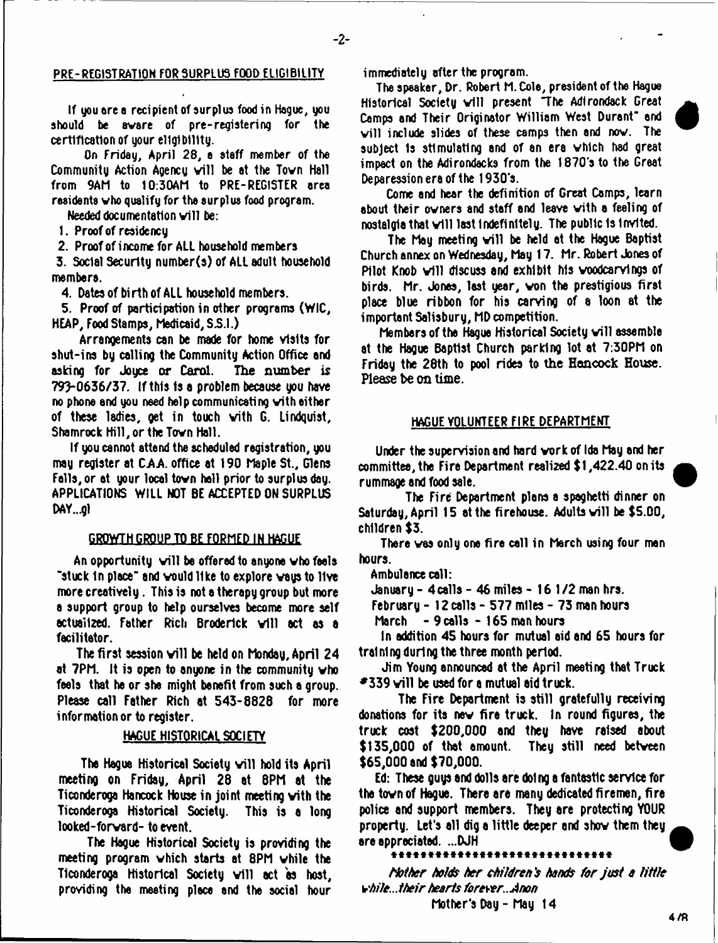#### 2--

### PRE-REGISTRATION FOR 3URPLU3 FOOD ELIGIBILITY

If you ore a recipient of surplus food in Hague, you should be aware of pre-registering for the certification of your eligibility.

On Friday, April 28, a ataff member of the Community Action Agency will be at the Town Hall from 9AM to 10:30AM to PRE-REGISTER area residents who qualify for the surplus food program.

Needed documentation will be:

1. Proof of reaidency

2. Proof of income for ALL household members

3. Social Security number(s) of ALL adult household members.

4. Dates of birth of ALL household members.

5. Proof of participation in other programs {WIC, HEAP, Food Stamps, Medicaid, S.S.I.)

Arrangements can be made for home visits for shut-ina by calling the Community Action Office and asking for Joyce or Carol. The number is 79>0636/37. If this is a problem because you have no phone and you need help communicating vith either of these ladies, get in touch vith G. Lindquist, Shamrock Hill, or the Town Hall.

If you cannot attend the scheduled registration, you may register at *ZAA.* office at 190 Maple St., Glens Falls, or at your locol tovn hall prior to surplus day. APPLICATIONS WILL NOT BE ACCEPTED ON SURPLUS DAY...gl

#### GROWTH GROUP TO BE FORMED IN HAGUE

An opportunity will be offered to anyone who feels. "stuck in place" and would like to explore ways to live more creatively. This is not a therapy group but more a support group to help ourselves become more self actualized. Father Rich Broderick will act as a facilitator.

The first session will be held on Monday, April 24 at 7PM. It is open to anyone in the community vho feels that he or she might benefit from such a group. Please call Father Rich at 543-8828 for more information or to register.

# HAGUE HISTORICAL SOCIETY

The Hague Historical Society will hold its April meeting on Fridsy, April 28 at 8PM at the Ticonderoga Hancock House in joint meeting vith the Ticonderoga Historical Society. This is a long looked-forvard- to event.

The Hague Historical Society is providing the meeting program vhich starts at 8PM vhile the Ticonderoga Historical Society will act as host, providing the meeting place and the social hour immediately after the program.

The speaker, Dr. Robert M. Cole, president of the Hague Historical Society will present. The Adirondack Great Comps and Their Originator William West Durant" and will include slides of these camps then and now. The subject 1s stimulating and of an era vhich had great impact on the Adirondacks from the 1870's to the Great Deparession era of the 1930's.

Come and hear the definition of Great Camps, learn about their ovners and staff and leave vith a feeling of nostalgia that will last indefinitely. The public is invited.

The May meeting will be held at the Hague Baptist Church annex on Wednesday, May 17. Mr. Robert Jones of Pilot Knob will discuss and exhibit his woodcarvings of birds. Mr. Jones, lest year, von the prestigious first place blue ribbon for his carving of a loon at the important Salisbury, MD competition.

Members of the Hague Historical Society will assemble at the Hague Baptist Church parking lot at 7:30PM on Friday the 28th to pool rides to the Hancock House. Please be on time.

### HAGUE VOLUNTEER FIRE DEPARTMENT

Under the supervision and hard vork of Ida May and her committee, the Fire Department realized \$1,422.40 on its rummage and food sale.

The Fire Department plons a spaghetti dinner on Saturday, April 15 at the firehouse. Adults will be \$5.00, children \$3.

There vas only one fire cell in March using four man hours.

Ambulance call:

January - 4 calls - 46 miles - 16 1/2 man hrs.

February - 12 calls - 577 miles - 73 man hours

March - 9 calls - 165 man hours

In addition 45 hours for mutual aid and 65 hours for training during the three month period.

Jim Young announced at the April meeting that Truck  $\blacktriangleright$  339 vill be used for a mutual aid truck.

The Fire Department is still gratefully receiving donations for its nev fire truck. In round figures, the truck cost \$200,000 and they have raised about \$135,000 of that amount. They still need betveen \$65,000 and \$70,000.

Ed: These guys and dolls are doing a fantastic service for the tovn of Hague. There are many dedicated firemen, fire police and support members. They are protecting YOUR property. Let's all dig a little deeper and shov them they are appreciated. ...DJH

\*\*\*\*\*\*\*\*\*\*\*\*\*\*\*\*\*\*\*\*\*\*\*\*\*

*Nather halds her children's hands far jvst a little vhile...their hearts forever.. Anon*

Mother's Day - May 14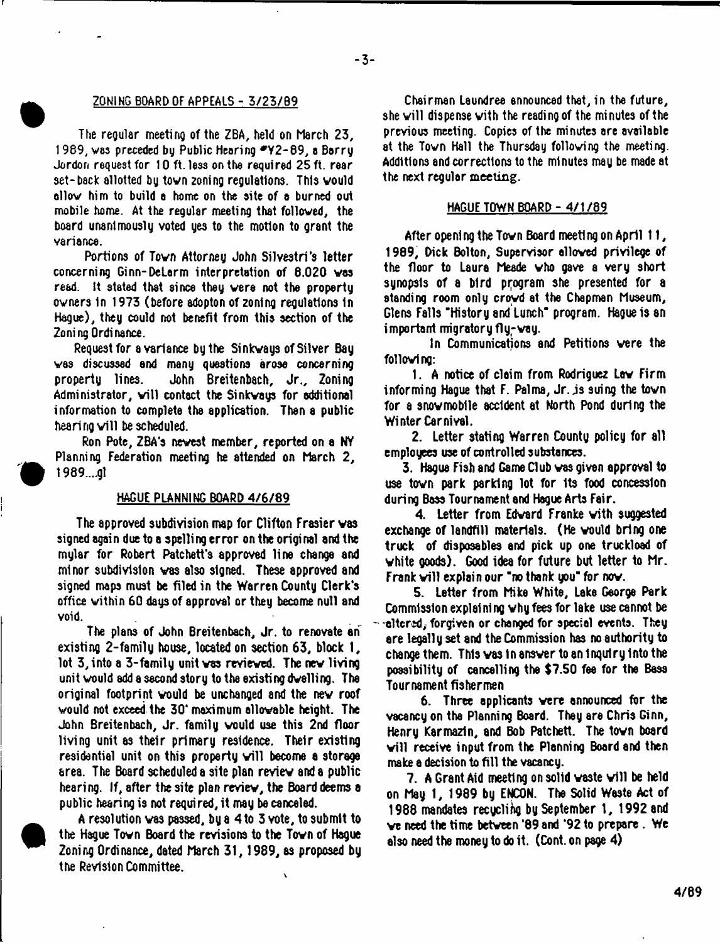#### ZQNING BOARD OF APPEALS - 3/23/B9

The regular meeting of the ZBA, held on March 23, 1989, was preceded by Public Hearing \*Y2-89, a Barry Jordon request for 10 ft. less on the required 25 ft. rear set-back allotted by tovn zoning regulations. This vould allow him to build a home on the site of a burned out mobile home. At the regular meeting that followed, the board unanimously voted yes to the motion to grant the variance.

Portions of Tovn Attorney John Silvestri's letter concerning Ginn-DeLarm interpretation of 8.020 vas read. It stated that since they were not the property owners In 1973 (before adopton of zoning regulations In Hague), they could not benefit from this section of the Zoning Ordinance.

Request for a variance by the Si nkvays of Silver Bay vas discussed and many questions arose concerning property lines. John Breitenbach, Jr., Zoning Administrator, will contact the Sinkways for additional information to complete the application. Then a public hearing will be scheduled.

Ron Pote, ZBA's newest member, reported on a NY Planning Federation meeting he attended on March 2, 1989....gl

# HAGUE PLANNING BOARD 4/6/89

The approved subdivision map for Clifton Frasier was signed again due to a spelli ng error on the origi nal and the mylar for Robert Patchett's approved line change and minor subdivision vas also signed. These approved and signed maps must be filed in the Warren County Clerk's office within 60 days of approval or they become null and void.

The plans of John Breitenbach, Jr. to renovate an existing 2-familg house, located on section 63, block 1, lot 3, into a 3-family unit vas reviewed. The nev living unit vould add a second story to the existing dwelling. The original footprint vould be unchanged and the nev roof vould not exceed the 30' maximum allowable height. The John Breitenbach, Jr. family vould use this 2nd floor living unit as their primary residence. Their existing residential unit on this property will become a storage area. The Board scheduled a site plan review and a public hearing. If, after the site plan review, the Board deems a public hearing is not required, it may be canceled.

A resolution vas passed, by a 4 to 3 vote, to submit to the Hague Town Board the revisions to the Tovn of Hague Zoning Ordinance, dated March 31, 1989, as proposed by the Revision Committee.  $\lambda$ 

Chairman Leundree announced that, in the future, she will dispense vith the reading of the minutes of the previous meeting. Copies of the minutes are available at the Tovn Hall the Thursday following the meeting. Additions and corrections to the minutes may be made at the next regular meeting.

#### HAGUE TOWN BOARD - 4/1/89

After opening the Tovn Board meeting on April 11, 1989, Dick Bolton, Supervisor allowed privilege of the floor to Laura Meade who gave a very short synopsis of a bird program she presented for a standing room only crowd at the Chapman Museum, Glens Falls "History and Lunch" program. Hague is an important migratory fly-way.

In Communications and Petitions were the following:

1. A notice of claim from Rodriguez Lav Firm informing Hague that F. Palma, Jr. js suing the town for a snowmobile accident at North Pond during the Winter Carnival.

2. Letter stating Warren County policy for all employees use of controlled substances.

3. Hague Fish and Game Club vas given approval to use tovn park parking lot for Its food concession during Bass Tournament and Hague Arts Fair.

4. Letter from Edward Franke with suggested exchange of landfill materials. (He vould bring one truck of disposables and pick up one truckload of white goods). Good idea for future but letter to Mr. Frank will explain our "no thank you" for now.

5. Letter from Mike White, Lake George Park Commission explaining why fees for lake use cannot be -citerid, forgiven or changed for special events. They are legally set and the Commission has no authority to change them. This vas In answer to an inquiry Into the possibility of cancelling the \$7.50 fee for the Bass Tournament fishermen

6. Three applicants were announced for the vacancy on the Planning Board. They are Chris Ginn, Henry Karmazin, and Bob Patchett. The tovn board will receive input from the Planning Board and then make a decision to fill the vacancy.

7. A Grant Aid meeting on solid waste will be held on May 1, 1989 by ENCON. The Solid Waste Act of 1988 mandates recycling by September 1, 1992 and ve need the time between '89 and '92 to prepare . We also need the money to do it. (Cont. on page 4)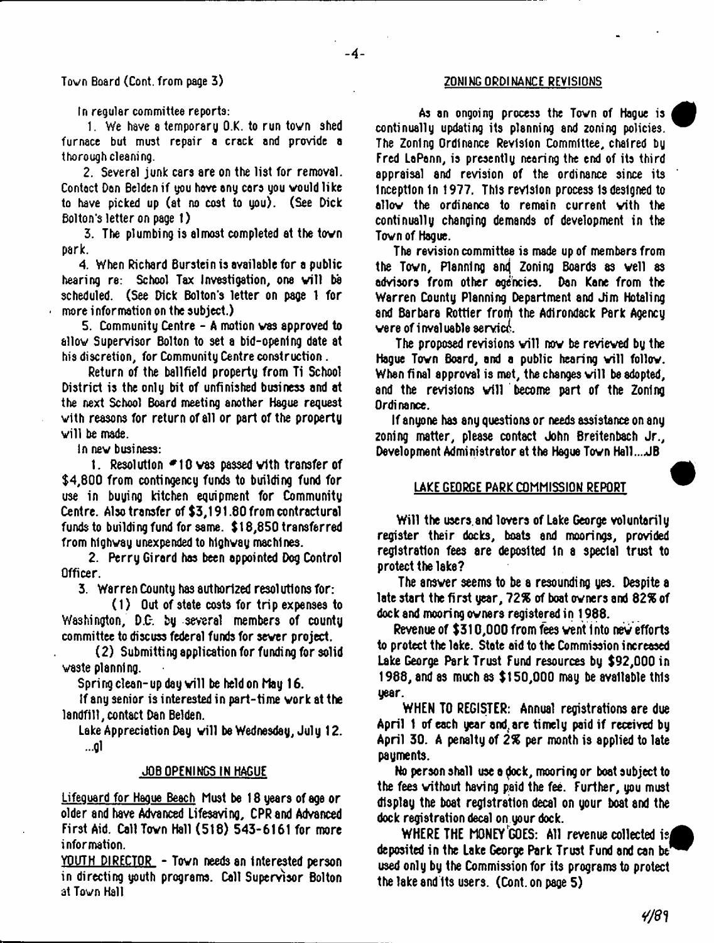# Town Board (Cont. from page 3) The Contract of the CONING ORDINANCE REVISIONS

In regular committee reports:

1. We have a temporary O.K. to run tovn shed furnace but must repair a crack and provide a thorough cleani ng.

2. Several junk cars are on the list for removal. Contact Dan Belden if you have any cars you vould like to have picked up (at no cost to you). (See Dick Bolton's letter on page 1)

3. The plumbing is almost completed at the tovn park.

4. When Richard Burstein is available for a public hearing re: School Tax Investigation, one will be scheduled. (See Dick Bolton's letter on page 1 for more information on the subject.)

5. Community Centre - A motion vas approved to allov Supervisor Bolton to set a bid-opening date at his discretion, for Community Centre construction.

Return of the ballfield property from Ti School District is the only bit of unfinished business and at the next School Board meeting another Hague request vith reasons for return of all or part of the property will be made.

In nev business:

t. Resolution # 10 vas passed vith transfer of \$4,800 from contingency funds to building fund for use in buying kitchen equipment for Community Centre. Also transfer of \$3,191.80 from contractural funds to building fund for same. \$18,850 transferred from highway unexpended to highway machines.

2. Perry Girard has been appointed Dog Control Officer.

3. Warren County has authorized resolutions for:

(1) Out of state costs for trip expenses to Washington, D.C-. by several members of county committee to discuss federal funds for sever project.

(2) Submitting application for funding for solid vaste planning.

Spring clean-up day will be held on May 16.

If any senior is interested in part-time vork at the landfill, contact Dan Belden.

Lake Appreciation Day will be Wednesday, July 12. ...gl

#### JOB OPENINGS IN HAGUE

Lifeguard for Hague Beach Must be 18 years of age or older and have Advanced Lifesaving, CPRand Advanced First Aid. Call Tovn Hall (5t8) 543-6161 for more information.

YOUTH DIRECTOR - Town needs an interested person in directing youth programs. Call Supervisor Bolton at Tovn Hall

As an ongoing process the Tovn of Hague is continually updating its planning and zoning policies. The Zoning Ordinance Revision Committee, chaired by Fred LaPann, is presently nearing the end of its third appraisal and revision of the ordinance since its inception in 1977. This revision process Is designed to allow the ordinance to remain current with the continually changing demands of development in the Tovn of Hague.

The revision committee is made up of members from the Town, Planning and Zoning Boards as well as advisors from other agencies. Dan Kane from the Warren County Planning Department and Jim Hotaling and Barbara Rottler froni the Adirondack Park Agency vere of invaluable service.

The proposed revisions will now be reviewed by the Hague Town Board, and a public hearing will follow. When final approval is met, the changes will be adopted, and the revisions will become part of the Zoning Ordinance.

If anyone has any questions or needs assistance on any zoning matter, please contact John Breitenbach Jr., Development Administrator at the Hegue Tovn Hell... JB

### LAKE GEORGE PARK COMMISSION REPORT

Will the users.and lovers of Lake George voluntarily register their docks, boats and moorings, provided registration fees are deposited In a special trust to protect the lake?

The ansver seems to be a resounding yes. Despite a late start the first year, 72% of boat owners and 82% of dock and mooring ovners registered in 1988.

Revenue of \$310,000 from fees vent into nev efforts to protect the lake. State aid to the Commission increased Lake George Park Trust Fund resources by \$92,000 in 1988, and as much as \$150,000 may be available this year.

WHEN TO REGISTER: Annual registrations are due April 1 of each year and, are timely paid if received by April 30. A penalty of *2%* per month is applied to late payments.

No person shall use a dock, mooring or boat subject to the fees without having paid the fee. Further, you must display the boat registration decal on your boat and the dock registration decal on your dock.

WHERE THE MONEY GOES: All revenue collected is deposited in the Lake George Park Trust Fund and can be used only by the Commission for its programs to protect the lake and its users. (Cont. on page 5)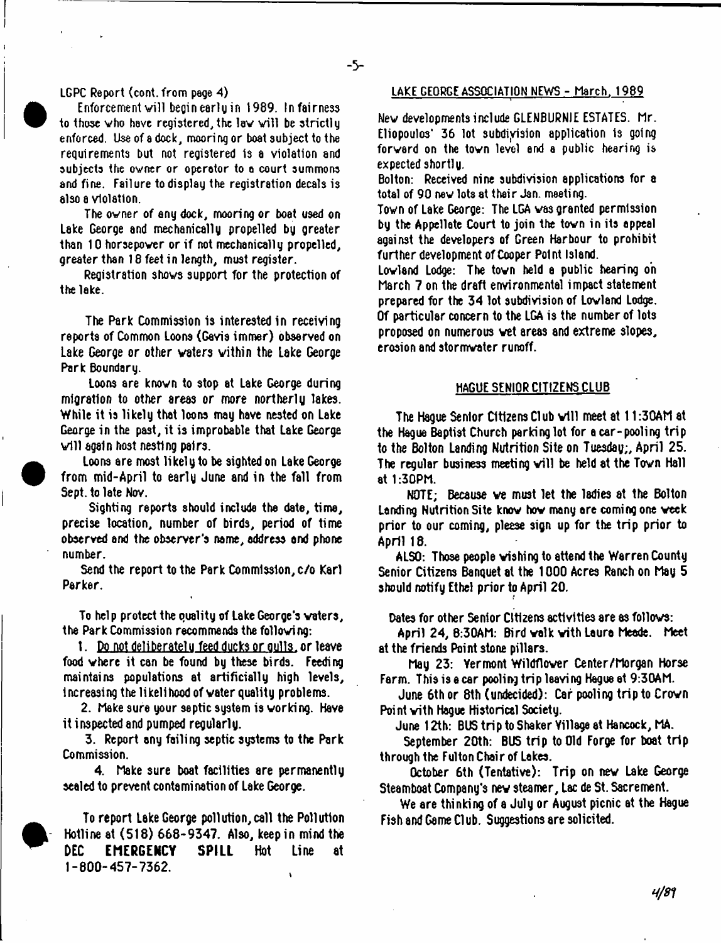#### LGPC Report (cont. from page 4)

Enforcement will beginearlyin 1989. Infairness to those who have registered, the law will be strictly enforced. Use of a dock, mooring or boat subject to the requirements but not registered is a violation and subjects the owner or operator to a court summons and fine. Failure to display the registration decals is also a violation.

The owner of any dock, mooring or boat used on Lake George and mechanically propelled by greater than 10 horsepower or if not mechanically propelled, greater than 18 feet in length, must register.

Registration shovs support for the protection of the lake.

The Park Commission is interested in receiving reports of Common Loons (Gavis immer) observed on Lake George or other waters vithin the Lake George Park Boundary.

Loons are known to stop at Lake George during migration to other areas or more northerly lakes. While it is likely that loons may have nested on Lake George in the past, it is improbable that Lake George will again host nesting pairs.

Loons are most likely to be sighted on Lake George from mid-April to early June and in the fall from Sept. to late Nov.

Sighting reports should include the date, time, precise location, number of birds, period of time observed and the observer's name, address and phone number.

Send the report to the Park Commission, c/o Karl Parker.

To help protect the quality of Lake George's waters, the Park Commission recommends the following:

1. Do not deliberately feed ducks or aulls.or leave food where it can be found by these birds. Feeding maintains populations at artificially high levels, increasing the likelihood of water quality problems.

2. Make sure your septic system is working. Have it inspected and pumped regularly.

3. Report any failing septic systems to the Park Commission.

4. Make sure boat facilities are permanently sealed to prevent contamination of Lake George.

To report Lake George pollution,call the Pollution Hotline at (518) 668-9347. Also, keep in mind the **DEC EMERGENCY SPILL** Hot Line at 1-800-457-7362.

#### LAKE GEORGE ASSOCIATION NEWS - March, 1989

Nev developments include GLENBURNJE ESTATES. Mr. Eliopoulos' 36 lot subdivision application is going forward on the tovn level end e public hearing is expected shortly.

Bolton: Received nine subdivision applications for a total of 90 nev lots at their Jan. meeting.

Town of Lake George: The LGA vas granted permission by the Appellate Court to join the tovn in its eppeal against the developers of Green Harbour to prohibit further development of Cooper Point Island.

Lowland Lodge: The tovn held e public hearing on March 7 on the draft environmental impact statement prepared for the 34 lot subdivision of Lowland Lodge. Of particular concern to the LGA is the number of lots proposed on numerous wet areas and extreme slopes, erosion and stormvater runoff.

## HAGUE SENIOR CITIZENS CLUB

The Hague Senior Citizens Club will meet at 11:30AM at the Hague Baptist Church parking lot for a car-pooling trip to the Bolton Landing Nutrition Site on Tuesday;, April 25. The regular business meeting will be held at the Tovn Hall at 1:30PM.

NOTE; Because ve must let the ladies at the Bolton Landing Nutrition Site know how many are coming one week prior to our coming, please sign up for the trip prior to April 18.

ALSO: Those people wishing to attend the Warren County Senior Citizens Banquet at the 1000 Acres Ranch on May 5 should notify Ethel prior to April 20.

Dates for other Senior Citizens activities are as follows:

April 24, 8:30AM: Bird walk with Laura Meade. Meet at the friends Point stone pillars.

May 23: Yermont Wildflover Center/Morgan Horse Farm. This is a car pooling trip leaving Hague at 9:30AM.

June 6th or 8th (undecided): Car pooling trip to Crown Point with Hague Historical Society.

June 12th: BUS trip to Shaker Yillage at Hancock, MA.

September 20th: BUS trip to Old Forge for boat trip through the Fulton Chair of Lakes.

October 6th (Tentative): Trip on nev Lake George Steamboat Company's nev steamer, Lac de St. Sacrement.

We are thinking of a July or August picnic at the Hague Fish and Game Cl ub. Suggestions are solicited.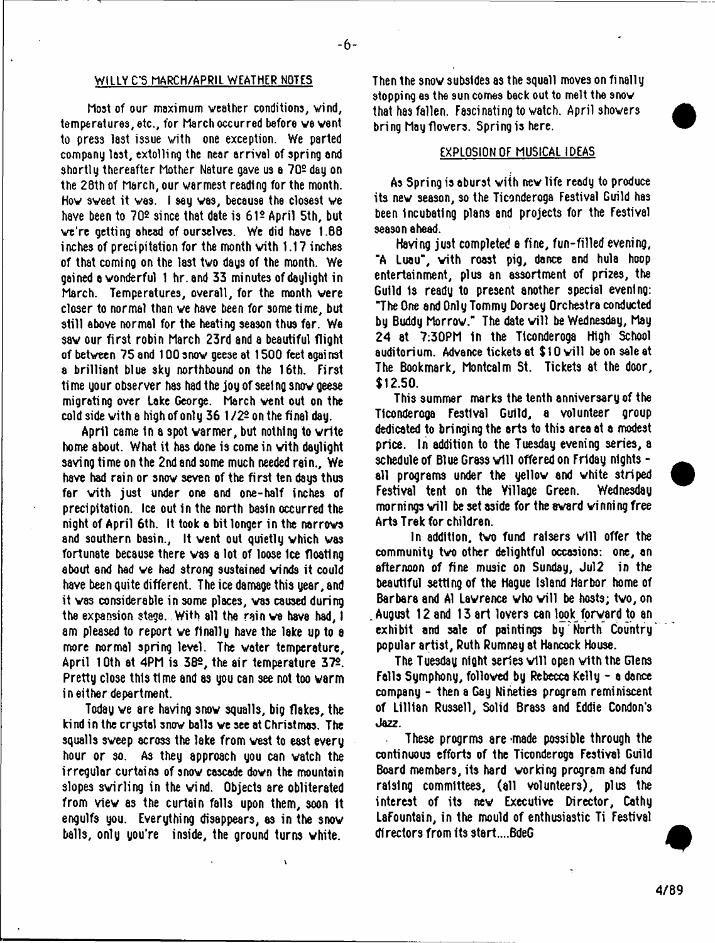# WILLY C'S MARCH/APRIL WEATHER NOTES

 $-6-$ 

host of our maximum weather conditions, wind, temperatures, etc., for March occurred before ve vent to press last issue with one exception. We parted company last, extolling the near arrival of spring and shortly thereafter Mother Nature gave us a 702 day on the 28th of March, our warmest reading for the month. Hov sveet it ves. I say was, because the closest ve have been to 702 since that date is 612 April 5th, but we're getting ahead of ourselves. We did have 1.88 inches of precipitation for the month with 1.17 inches of that coming on the last two days of the month. We gained a wonderful 1 hr.and 33 minutes of daylight in March. Temperatures, overall, for the month were closer to normal than ve have been for some time, but still above normal for the heating season thus far. We sav our first robin March 23rd and a beautiful flight of between 75 and 100 snow geese at 1500 feet against a brilliant blue sky northbound on the 16th. First time your observer has had the joy of seeing snow geese migrating over Lake George. March vent out on the cold side with a high of only  $36\frac{1}{2}$  on the final day.

April came 1n a spot varmer, but nothing to vrite home about. What it has done is come in vith daylight saving time on the 2nd and some much needed rain.. We have had rain or snov seven of the first ten days thus far vith just under one and one-half inches of precipitation. Ice out in the north basin occurred the night of April 6th. it took a bit longer in the narrows and southern basin.. It went out quietly which was fortunate because there was a lot of loose ice floating about and had ve had strong sustained vinds it could have been quite different. The ice damage this year, and it vas considerable in some places, vas caused during the expansion stage. With all the rain ve have had, I am pleased to report ve finally have the lake up to a more normal spring level. The voter temperature, April 10th at 4PM is 382, the air temperature 372. Pretty close this time and as you can see not too warm in either department.

Today ve are having snov squalls, big flakes, the kind in the crystal snov balls ve see at Christmas. The squalls sveep across the lake from vest to east every hour or so. As they approach you can vatch the irregular curtains of snov cascade dovn the mountain slopes swirling in the wind. Objects are obliterated from viev as the curtain falls upon them, soon It engulfs you. Everything disappears, as in the snow balls, only you're inside, the ground turns vhite.

Then the snow subsides as the squall moves on finally stopping as the sun comes back out to melt the snow that has fallen. Fascinating to vatch. April shovers bring Mayflovers. Spring is here.

## EXPLOSION OF MUSICAL IDEAS

As Spring is aburst vith nev life ready to produce its nev season, so the Ticonderoga Festival Guild ha3 been Incubating plans and projects for the Festival season ahead.

Having just completed a fine, fun-filled evening, "A Luau", vith roast pig, dance and hula hoop entertainment, plus an assortment of prizes, the Guild 1s ready to present another special evening: "The One and Only Tommy Dorsey Orchestra conducted by Buddy Morrow." The date will be Wednesday, May 24 at 7:30PM In the Ticonderoga High School auditorium. Advance tickets at \$10 will be on sale at The Bookmark, Montcalm St. Tickets at the door, \$12.50.

This summer marks the tenth anniversary of the Ticonderoga Festival Guild, a volunteer group dedicated to bringing the arts to this area at a modest price. In addition to the Tuesday evening series, a schedule of Blue Grass will offered on Friday nights all programs under the yellow and white striped<br>Festival tent on the Village Green. Wednesdau Festival tent on the Village Green. mornings will be set aside for the award winning free Arts Trek for children.

In addition, two fund raisers will offer the community tvo other delightful occasions: one, an afternoon *of* fine music on Sunday, Jul2 in the beautiful setting of the Hague Island Harbor home of Barbara and Al Lawrence who will be hosts; two, on August 12 and 13 art lovers can look forward to an exhibit and sale of paintings by'North Country' popular artist, Ruth Rumney at Hancock House.

The Tuesday night series will open with the Glens Falls Symphony, followed by Rebecca Kelly - a dance company - then a Gay Nineties program reminiscent of Lillian Russell, Solid Brass and Eddie Condon's Jazz.

These progrms are made possible through the continuous efforts of the Ticonderoga Festival Guild Board members, its hard working program and fund raising committees, (all volunteers), plus the interest of its nev Executive Director, Cathy LaFountain, in the mould of enthusiastic Ti Festival directors from its start....BdeG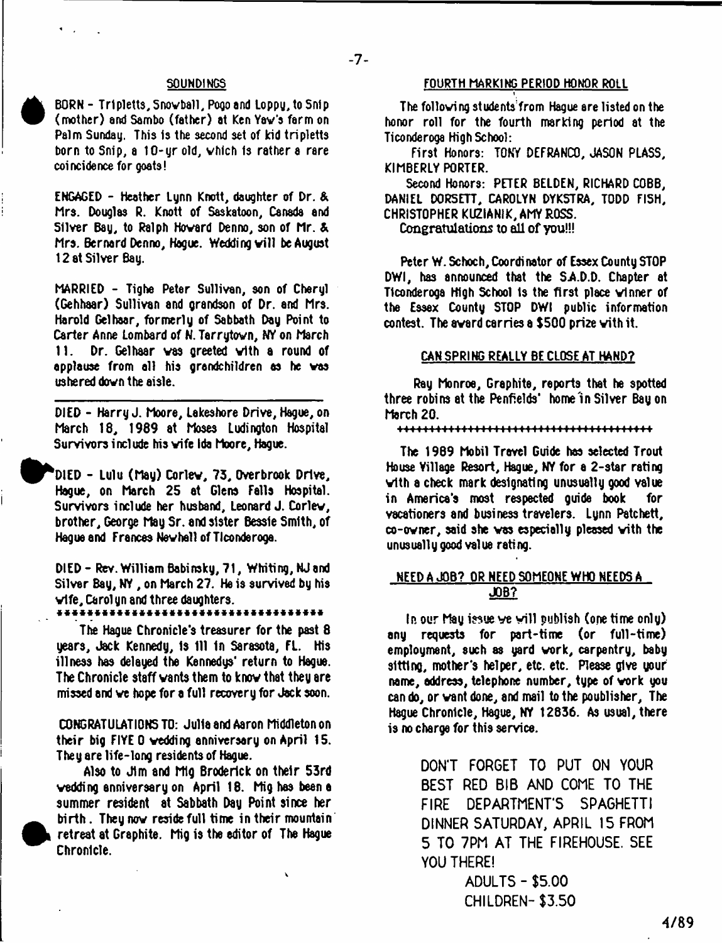# $-7-$

#### SOUNDINGS

BORN - Tripletts, Snowball, Pogo and Loppy, to Snip (mother) and Sambo (father) at Ken Yav's farm on Palm Sunday. This is the second set of Kid tripletts born to Snip, a 10-yr old, vhich is rather a rare coincidence for goats!

ENGAGED - Heather Lynn Knott, daughter of Dr. & Mrs. Douglas R. Knott of Saskatoon, Canada and Silver Bay, to Ralph Howard Denno, son of Mr. & Mrs. Bernard Denno, Hague. Wedding will be August 12 at Silver Bay.

MARRIED - Tighe Peter Sullivan, son of Cheryl (Gehhaar) Sullivan and grandson of Dr. and Mrs. Harold Gelhaar, formerly of Sabbath Day Point to Carter Anne Lombard of N. Tarrytovn, NY on March 11. Dr. Gelhaar vas greeted vith a round of applause from all his grandchildren as he vas ushered down the aisle.

DIED - Harry J. Moore, Lakeshore Drive, Hague, on March 18, 1989 at Moses Ludington Hospital Survivors include his vife Ida Moore, Hague.

^P^DIED - Lulu (May) Corlev, 73, Overbrook Drive, Hague, on March 25 at Glens Falls Hospital. Survivors include her husband, Leonard J. Corlev, brother, George May Sr. and sister Bessie Smith, of Hague and Frances Nev hall of Ticonderoga.

DIED - Rev. William Babinsky, 71, Whiting, NJ and Silver Bay, NY , on March 27. He is survived by his vife, Carolyn and three daughters.

The Hague Chronicle's treasurer for the past 8 years. Jack Kennedy, Is 111 In Sarasota, FL. His illness has delayed the Kennedys' return to Hague. The Chronicle staff vants them to knov that they are missed and ve hope for a full recovery for Jack soon.

CONGRATULATIONS TO: Julia and Aaron Middleton on their big FIYE 0 vedding anniversary on April 15. They are life-long residents of Hague.

Also to Jim and Mlg Broderick on their 53rd vedding anniversary on April 18. Mig has been a summer resident at Sabbath Day Point since her birth. They nov reside full time in their mountain retreat at Graphite. Mig is the editor of The Hague Chronicle.

# FOURTH MARKING PERIOD HONOR ROLL

1

The following students from Hague ere listed on the honor roll for the fourth marking period at the Ticonderoga High School:

First Honors: TONY DEFRANCO, JASON PLASS, KIMBERLY PORTER.

Second Honors: PETER BELDEN, RICHARD COBB, DANIEL DORSETT, CAROLYN DYKSTRA, TODD FISH, CHRISTOPHER KUZIANIK, AMY ROSS.

Congratulations to all of you!!!

Peter W. Schoch, Coordinator of Essex County STOP DWI, has announced that the SA.D.D. Chapter at Ticonderoga High School Is the first place vlnner of the Essex County STOP DWI public information contest. The avard carries a \$500 pri2e vith it.

#### CAN SPRING REALLY BE CLOSE AT HAND?

Ray Monroe, Graphite, reports that he spotted three robins at the Penfields' tome'in Silver Bay on March 20.

niiminmin m++4+\*\*+++++-H m «hh

The 1969 Mobil Travel Guide has selected Trout House Village Resort, Hague, NY for a 2-star rating vith a check mark designating unusually good value in America's most respected guide book for vacationers and business travelers. Lynn Patchett, co-ovner, said she vas especially pleased vith the unusually good value rating.

# NEED A JOB? OR NEED SOMEONE WHO NEEDS A JOB?

In our May issue ve will publish (onetime only) any requests for part-time (or full-time) employment, euch as yard vork, carpentry, baby sitting, mother's helper, etc. etc. Please give your name, address, telephone number, type of vork you can do, or vant done, and mail to the poublisher, The Hague Chronicle, Hague, NY 12836. As usual, there is no charge for this service.

> DON'T FORGET TO PUT ON YOUR BEST RED BIB AND COME TO THE FIRE DEPARTMENT'S SPAGHETTI DINNER SATURDAY, APRIL 15 FROM 5 TO 7PM AT THE FIREHOUSE. SEE YOU THERE!

> > ADULTS - \$5.00 CHILDREN-\$3.50